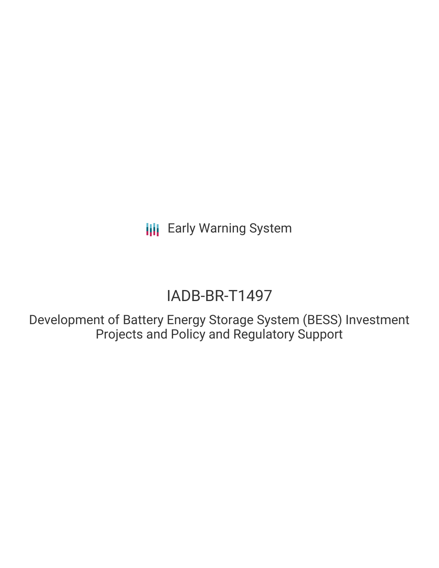**III** Early Warning System

## IADB-BR-T1497

Development of Battery Energy Storage System (BESS) Investment Projects and Policy and Regulatory Support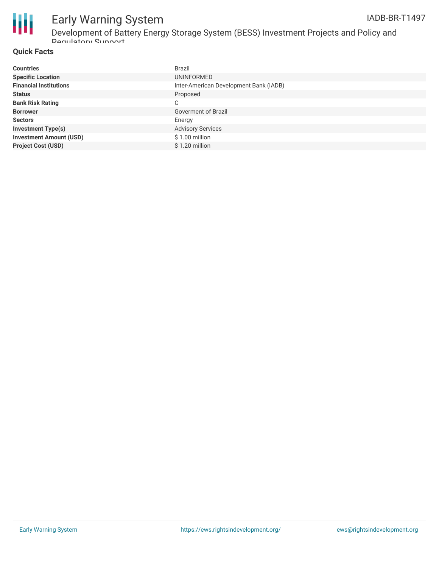

#### Early Warning System IADB-BR-T1497

Development of Battery Energy Storage System (BESS) Investment Projects and Policy and Regulatory Support

#### **Quick Facts**

| <b>Countries</b>               | <b>Brazil</b>                          |
|--------------------------------|----------------------------------------|
| <b>Specific Location</b>       | UNINFORMED                             |
| <b>Financial Institutions</b>  | Inter-American Development Bank (IADB) |
| <b>Status</b>                  | Proposed                               |
| <b>Bank Risk Rating</b>        | C                                      |
| <b>Borrower</b>                | Goverment of Brazil                    |
| <b>Sectors</b>                 | Energy                                 |
| <b>Investment Type(s)</b>      | <b>Advisory Services</b>               |
| <b>Investment Amount (USD)</b> | $$1.00$ million                        |
| <b>Project Cost (USD)</b>      | \$1.20 million                         |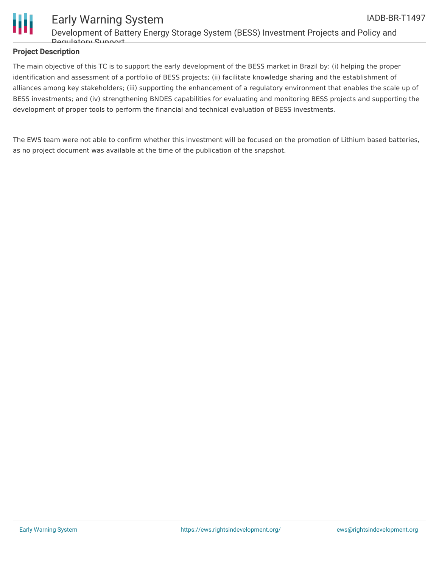

#### **Project Description**

The main objective of this TC is to support the early development of the BESS market in Brazil by: (i) helping the proper identification and assessment of a portfolio of BESS projects; (ii) facilitate knowledge sharing and the establishment of alliances among key stakeholders; (iii) supporting the enhancement of a regulatory environment that enables the scale up of BESS investments; and (iv) strengthening BNDES capabilities for evaluating and monitoring BESS projects and supporting the development of proper tools to perform the financial and technical evaluation of BESS investments.

The EWS team were not able to confirm whether this investment will be focused on the promotion of Lithium based batteries, as no project document was available at the time of the publication of the snapshot.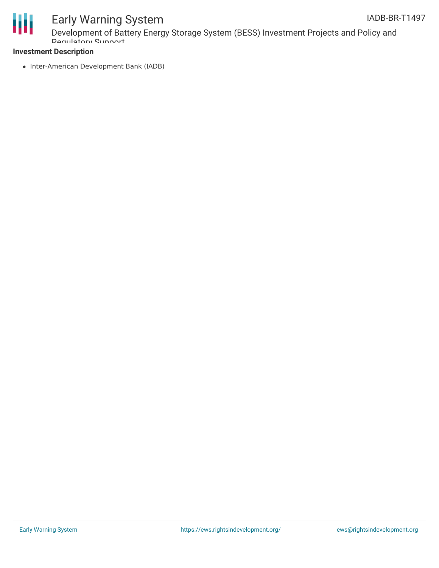



# Early Warning System

Development of Battery Energy Storage System (BESS) Investment Projects and Policy and Regulatory Support

#### **Investment Description**

• Inter-American Development Bank (IADB)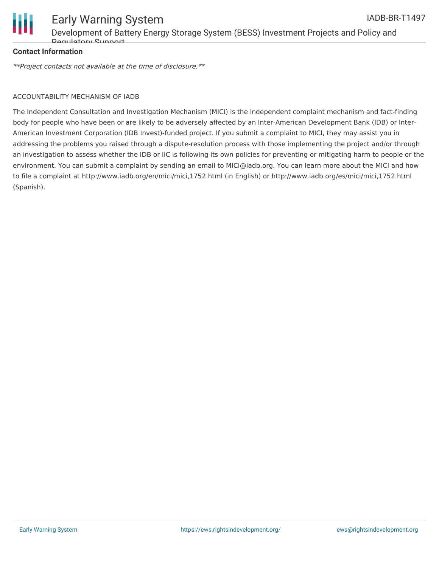

#### **Contact Information**

\*\*Project contacts not available at the time of disclosure.\*\*

#### ACCOUNTABILITY MECHANISM OF IADB

The Independent Consultation and Investigation Mechanism (MICI) is the independent complaint mechanism and fact-finding body for people who have been or are likely to be adversely affected by an Inter-American Development Bank (IDB) or Inter-American Investment Corporation (IDB Invest)-funded project. If you submit a complaint to MICI, they may assist you in addressing the problems you raised through a dispute-resolution process with those implementing the project and/or through an investigation to assess whether the IDB or IIC is following its own policies for preventing or mitigating harm to people or the environment. You can submit a complaint by sending an email to MICI@iadb.org. You can learn more about the MICI and how to file a complaint at http://www.iadb.org/en/mici/mici,1752.html (in English) or http://www.iadb.org/es/mici/mici,1752.html (Spanish).